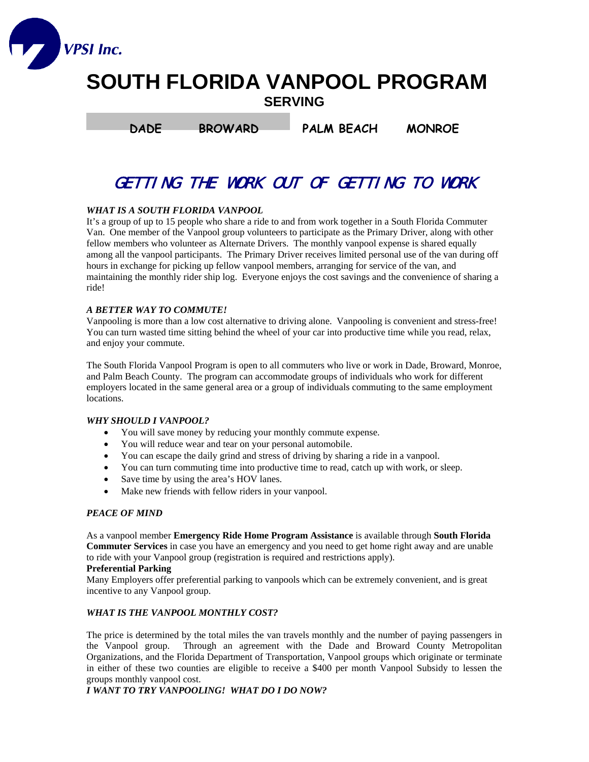

# **SOUTH FLORIDA VANPOOL PROGRAM SERVING**

**DADE BROWARD PALM BEACH MONROE** 

# GETTING THE WORK OUT OF GETTING TO WORK

# *WHAT IS A SOUTH FLORIDA VANPOOL*

It's a group of up to 15 people who share a ride to and from work together in a South Florida Commuter Van. One member of the Vanpool group volunteers to participate as the Primary Driver, along with other fellow members who volunteer as Alternate Drivers. The monthly vanpool expense is shared equally among all the vanpool participants. The Primary Driver receives limited personal use of the van during off hours in exchange for picking up fellow vanpool members, arranging for service of the van, and maintaining the monthly rider ship log. Everyone enjoys the cost savings and the convenience of sharing a ride!

# *A BETTER WAY TO COMMUTE!*

Vanpooling is more than a low cost alternative to driving alone. Vanpooling is convenient and stress-free! You can turn wasted time sitting behind the wheel of your car into productive time while you read, relax, and enjoy your commute.

The South Florida Vanpool Program is open to all commuters who live or work in Dade, Broward, Monroe, and Palm Beach County. The program can accommodate groups of individuals who work for different employers located in the same general area or a group of individuals commuting to the same employment locations.

# *WHY SHOULD I VANPOOL?*

- You will save money by reducing your monthly commute expense.
- You will reduce wear and tear on your personal automobile.
- You can escape the daily grind and stress of driving by sharing a ride in a vanpool.
- You can turn commuting time into productive time to read, catch up with work, or sleep.
- Save time by using the area's HOV lanes.
- Make new friends with fellow riders in your vanpool.

# *PEACE OF MIND*

As a vanpool member **Emergency Ride Home Program Assistance** is available through **South Florida Commuter Services** in case you have an emergency and you need to get home right away and are unable to ride with your Vanpool group (registration is required and restrictions apply).

#### **Preferential Parking**

Many Employers offer preferential parking to vanpools which can be extremely convenient, and is great incentive to any Vanpool group.

#### *WHAT IS THE VANPOOL MONTHLY COST?*

The price is determined by the total miles the van travels monthly and the number of paying passengers in the Vanpool group. Through an agreement with the Dade and Broward County Metropolitan Organizations, and the Florida Department of Transportation, Vanpool groups which originate or terminate in either of these two counties are eligible to receive a \$400 per month Vanpool Subsidy to lessen the groups monthly vanpool cost.

*I WANT TO TRY VANPOOLING! WHAT DO I DO NOW?*